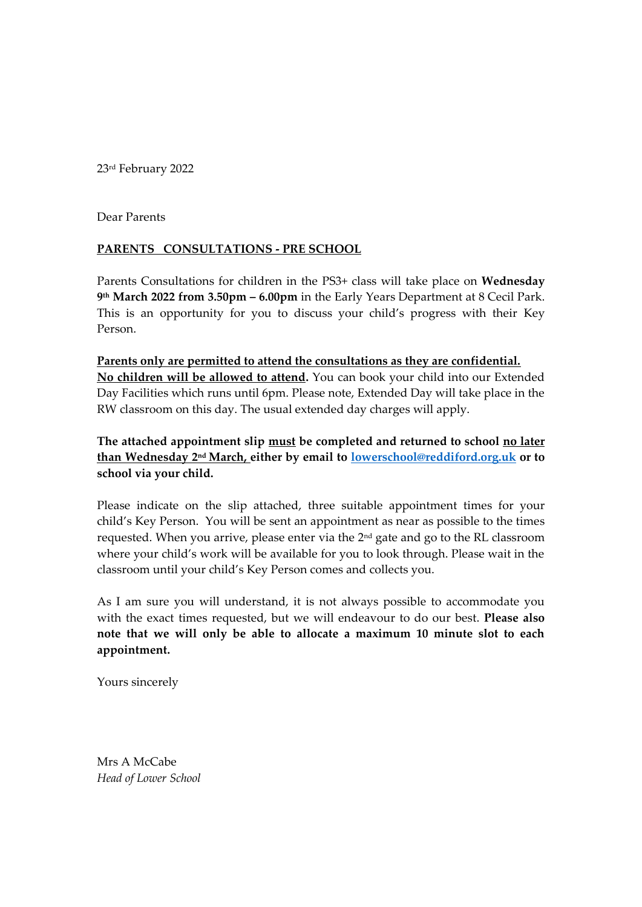23rd February 2022

Dear Parents

## **PARENTS CONSULTATIONS - PRE SCHOOL**

Parents Consultations for children in the PS3+ class will take place on **Wednesday 9 th March 2022 from 3.50pm – 6.00pm** in the Early Years Department at 8 Cecil Park. This is an opportunity for you to discuss your child's progress with their Key Person.

**Parents only are permitted to attend the consultations as they are confidential. No children will be allowed to attend.** You can book your child into our Extended Day Facilities which runs until 6pm. Please note, Extended Day will take place in the RW classroom on this day. The usual extended day charges will apply.

**The attached appointment slip must be completed and returned to school no later than Wednesday 2 nd March, either by email to [lowerschool@reddiford.org.uk](mailto:lowerschool@reddiford.org.uk) or to school via your child.** 

Please indicate on the slip attached, three suitable appointment times for your child's Key Person. You will be sent an appointment as near as possible to the times requested. When you arrive, please enter via the 2<sup>nd</sup> gate and go to the RL classroom where your child's work will be available for you to look through. Please wait in the classroom until your child's Key Person comes and collects you.

As I am sure you will understand, it is not always possible to accommodate you with the exact times requested, but we will endeavour to do our best. **Please also note that we will only be able to allocate a maximum 10 minute slot to each appointment.**

Yours sincerely

Mrs A McCabe *Head of Lower School*